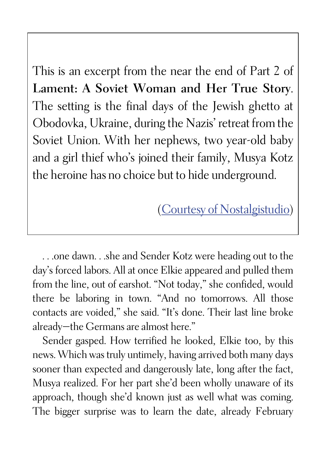This is an excerpt from the near the end of Part 2 of Lament: A Soviet Woman and Her True Story. The setting is the final days of the Jewish ghetto at Obodovka, Ukraine, during the Nazis' retreat from the Soviet Union. With her nephews, two year-old baby and a girl thief who's joined their family, Musya Kotz the heroine has no choice but to hide underground.

(Courtesy of Nostalgistudio)

. . .one dawn. . .she and Sender Kotz were heading out to the day's forced labors. All at once Elkie appeared and pulled them from the line, out of earshot. "Not today," she confided, would there be laboring in town. "And no tomorrows. All those contacts are voided," she said. "It's done. Their last line broke already—the Germans are almost here."

Sender gasped. How terrified he looked, Elkie too, by this news. Which was truly untimely, having arrived both many days sooner than expected and dangerously late, long after the fact, Musya realized. For her part she'd been wholly unaware of its approach, though she'd known just as well what was coming. The bigger surprise was to learn the date, already February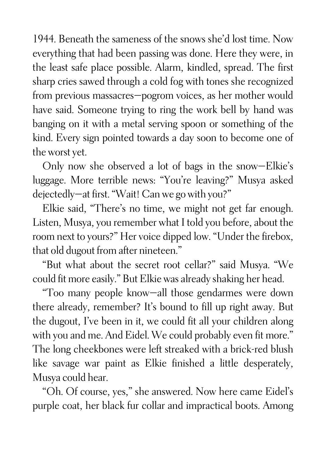1944. Beneath the sameness of the snows she'd lost time. Now everything that had been passing was done. Here they were, in the least safe place possible. Alarm, kindled, spread. The first sharp cries sawed through a cold fog with tones she recognized from previous massacres—pogrom voices, as her mother would have said. Someone trying to ring the work bell by hand was banging on it with a metal serving spoon or something of the kind. Every sign pointed towards a day soon to become one of the worst yet.

Only now she observed a lot of bags in the snow—Elkie's luggage. More terrible news: "You're leaving?" Musya asked dejectedly—at first. "Wait! Can we go with you?"

Elkie said, "There's no time, we might not get far enough. Listen, Musya, you remember what I told you before, about the room next to yours?" Her voice dipped low. "Under the firebox, that old dugout from after nineteen."

"But what about the secret root cellar?" said Musya. "We could fit more easily." But Elkie was already shaking her head.

"Too many people know—all those gendarmes were down there already, remember? It's bound to fill up right away. But the dugout, I've been in it, we could fit all your children along with you and me. And Eidel. We could probably even fit more." The long cheekbones were left streaked with a brick-red blush like savage war paint as Elkie finished a little desperately, Musya could hear.

"Oh. Of course, yes," she answered. Now here came Eidel's purple coat, her black fur collar and impractical boots. Among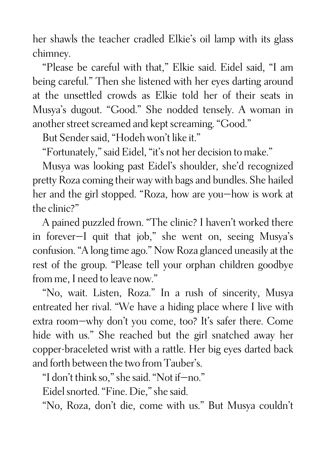her shawls the teacher cradled Elkie's oil lamp with its glass chimney.

"Please be careful with that," Elkie said. Eidel said, "I am being careful." Then she listened with her eyes darting around at the unsettled crowds as Elkie told her of their seats in Musya's dugout. "Good." She nodded tensely. A woman in another street screamed and kept screaming. "Good."

But Sender said, "Hodeh won't like it."

"Fortunately," said Eidel, "it's not her decision to make."

Musya was looking past Eidel's shoulder, she'd recognized pretty Roza coming their way with bags and bundles. She hailed her and the girl stopped. "Roza, how are you—how is work at the clinic?"

A pained puzzled frown. "The clinic? I haven't worked there in forever—I quit that job," she went on, seeing Musya's confusion. "A long time ago." Now Roza glanced uneasily at the rest of the group. "Please tell your orphan children goodbye from me, I need to leave now."

"No, wait. Listen, Roza." In a rush of sincerity, Musya entreated her rival. "We have a hiding place where I live with extra room—why don't you come, too? It's safer there. Come hide with us." She reached but the girl snatched away her copper-braceleted wrist with a rattle. Her big eyes darted back and forth between the two from Tauber's.

"I don't think so," she said. "Not if—no."

Eidel snorted. "Fine. Die," she said.

"No, Roza, don't die, come with us." But Musya couldn't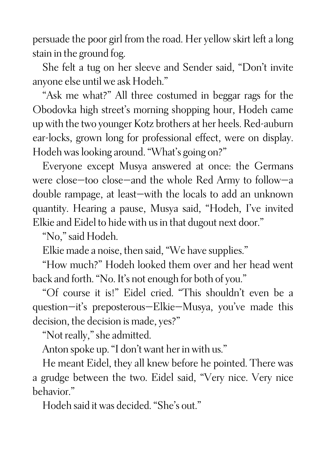persuade the poor girl from the road. Her yellow skirt left a long stain in the ground fog.

She felt a tug on her sleeve and Sender said, "Don't invite anyone else until we ask Hodeh."

"Ask me what?" All three costumed in beggar rags for the Obodovka high street's morning shopping hour, Hodeh came up with the two younger Kotz brothers at her heels. Red-auburn ear-locks, grown long for professional effect, were on display. Hodeh was looking around. "What's going on?"

Everyone except Musya answered at once: the Germans were close—too close—and the whole Red Army to follow—a double rampage, at least—with the locals to add an unknown quantity. Hearing a pause, Musya said, "Hodeh, I've invited Elkie and Eidel to hide with us in that dugout next door."

"No," said Hodeh.

Elkie made a noise, then said, "We have supplies."

"How much?" Hodeh looked them over and her head went back and forth. "No. It's not enough for both of you."

"Of course it is!" Eidel cried. "This shouldn't even be a question—it's preposterous—Elkie—Musya, you've made this decision, the decision is made, yes?"

"Not really," she admitted.

Anton spoke up. "I don't want her in with us."

He meant Eidel, they all knew before he pointed. There was a grudge between the two. Eidel said, "Very nice. Very nice behavior."

Hodeh said it was decided. "She's out."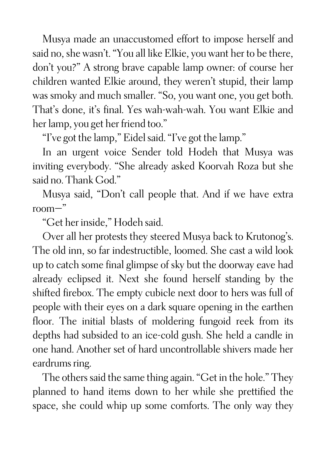Musya made an unaccustomed effort to impose herself and said no, she wasn't. "You all like Elkie, you want her to be there, don't you?" A strong brave capable lamp owner: of course her children wanted Elkie around, they weren't stupid, their lamp was smoky and much smaller. "So, you want one, you get both. That's done, it's final. Yes wah-wah-wah. You want Elkie and her lamp, you get her friend too."

"I've got the lamp," Eidel said. "I've got the lamp."

In an urgent voice Sender told Hodeh that Musya was inviting everybody. "She already asked Koorvah Roza but she said no. Thank God."

Musya said, "Don't call people that. And if we have extra room—"

"Get her inside," Hodeh said.

Over all her protests they steered Musya back to Krutonog's. The old inn, so far indestructible, loomed. She cast a wild look up to catch some final glimpse of sky but the doorway eave had already eclipsed it. Next she found herself standing by the shifted firebox. The empty cubicle next door to hers was full of people with their eyes on a dark square opening in the earthen floor. The initial blasts of moldering fungoid reek from its depths had subsided to an ice-cold gush. She held a candle in one hand. Another set of hard uncontrollable shivers made her eardrums ring.

The others said the same thing again. "Get in the hole." They planned to hand items down to her while she prettified the space, she could whip up some comforts. The only way they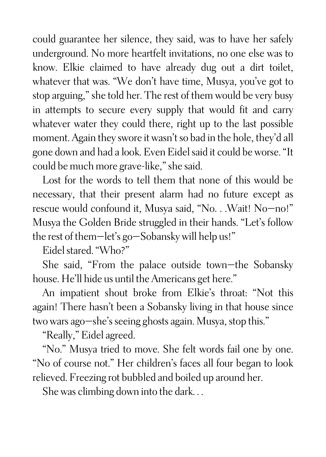could guarantee her silence, they said, was to have her safely underground. No more heartfelt invitations, no one else was to know. Elkie claimed to have already dug out a dirt toilet, whatever that was. "We don't have time, Musya, you've got to stop arguing," she told her. The rest of them would be very busy in attempts to secure every supply that would fit and carry whatever water they could there, right up to the last possible moment. Again they swore it wasn't so bad in the hole, they'd all gone down and had a look. Even Eidel said it could be worse."It could be much more grave-like," she said.

Lost for the words to tell them that none of this would be necessary, that their present alarm had no future except as rescue would confound it, Musya said, "No. . .Wait! No—no!" Musya the Golden Bride struggled in their hands. "Let's follow the rest of them—let's go—Sobansky will help us!"

Eidel stared. "Who?"

She said, "From the palace outside town—the Sobansky house. He'll hide us until the Americans get here."

An impatient shout broke from Elkie's throat: "Not this again! There hasn't been a Sobansky living in that house since two wars ago—she's seeing ghosts again. Musya, stop this."

"Really," Eidel agreed.

"No." Musya tried to move. She felt words fail one by one. "No of course not." Her children's faces all four began to look relieved. Freezing rot bubbled and boiled up around her.

She was climbing down into the dark. . .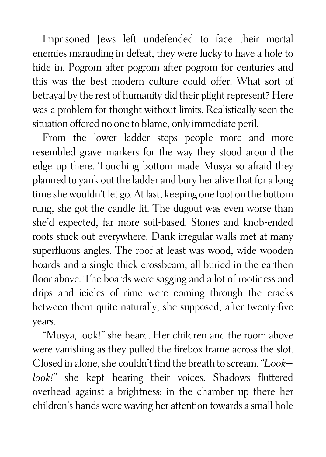Imprisoned Jews left undefended to face their mortal enemies marauding in defeat, they were lucky to have a hole to hide in. Pogrom after pogrom after pogrom for centuries and this was the best modern culture could offer. What sort of betrayal by the rest of humanity did their plight represent? Here was a problem for thought without limits. Realistically seen the situation offered no one to blame, only immediate peril.

From the lower ladder steps people more and more resembled grave markers for the way they stood around the edge up there. Touching bottom made Musya so afraid they planned to yank out the ladder and bury her alive that for a long time she wouldn't let go. At last, keeping one foot on the bottom rung, she got the candle lit. The dugout was even worse than she'd expected, far more soil-based. Stones and knob-ended roots stuck out everywhere. Dank irregular walls met at many superfluous angles. The roof at least was wood, wide wooden boards and a single thick crossbeam, all buried in the earthen floor above. The boards were sagging and a lot of rootiness and drips and icicles of rime were coming through the cracks between them quite naturally, she supposed, after twenty-five years.

"Musya, look!" she heard. Her children and the room above were vanishing as they pulled the firebox frame across the slot. Closed in alone, she couldn't find the breath to scream. *"Look look!"* she kept hearing their voices. Shadows fluttered overhead against a brightness: in the chamber up there her children's hands were waving her attention towards a small hole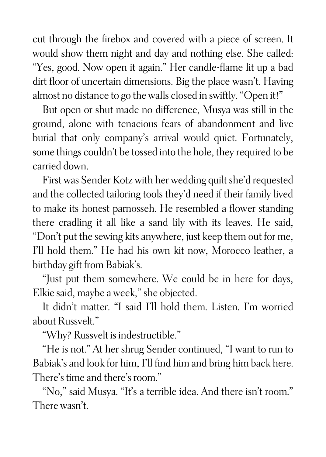cut through the firebox and covered with a piece of screen. It would show them night and day and nothing else. She called: "Yes, good. Now open it again." Her candle-flame lit up a bad dirt floor of uncertain dimensions. Big the place wasn't. Having almost no distance to go the walls closed in swiftly. "Open it!"

But open or shut made no difference, Musya was still in the ground, alone with tenacious fears of abandonment and live burial that only company's arrival would quiet. Fortunately, some things couldn't be tossed into the hole, they required to be carried down.

First was Sender Kotz with her wedding quilt she'd requested and the collected tailoring tools they'd need if their family lived to make its honest parnosseh. He resembled a flower standing there cradling it all like a sand lily with its leaves. He said, "Don't put the sewing kits anywhere, just keep them out for me, I'll hold them." He had his own kit now, Morocco leather, a birthday gift from Babiak's.

"Just put them somewhere. We could be in here for days, Elkie said, maybe a week," she objected.

It didn't matter. "I said I'll hold them. Listen. I'm worried about Russvelt."

"Why? Russvelt is indestructible."

"He is not." At her shrug Sender continued, "I want to run to Babiak's and look for him, I'll find him and bring him back here. There's time and there's room."

"No," said Musya. "It's a terrible idea. And there isn't room." There wasn't.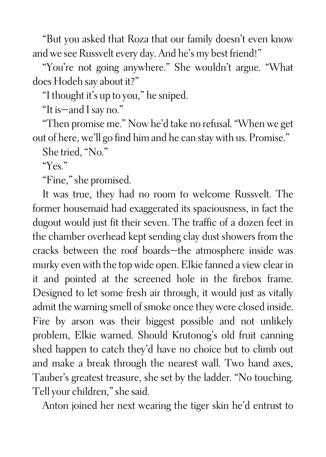"But you asked that Roza that our family doesn't even know and we see Russvelt every day. And he's my best friend!"

"You're not going anywhere." She wouldn't argue. "What does Hodeh say about it?"

"I thought it's up to you," he sniped.

"It is—and I say no."

"Then promise me." Now he'd take no refusal. "When we get out of here, we'll go find him and he can stay with us. Promise."

She tried, "No."

"Yes."

"Fine," she promised.

It was true, they had no room to welcome Russvelt. The former housemaid had exaggerated its spaciousness, in fact the dugout would just fit their seven. The traffic of a dozen feet in the chamber overhead kept sending clay dust showers from the cracks between the roof boards—the atmosphere inside was murky even with the top wide open. Elkie fanned a view clear in it and pointed at the screened hole in the firebox frame. Designed to let some fresh air through, it would just as vitally admit the warning smell of smoke once they were closed inside. Fire by arson was their biggest possible and not unlikely problem, Elkie warned. Should Krutonog's old fruit canning shed happen to catch they'd have no choice but to climb out and make a break through the nearest wall. Two hand axes, Tauber's greatest treasure, she set by the ladder. "No touching. Tell your children," she said.

Anton joined her next wearing the tiger skin he'd entrust to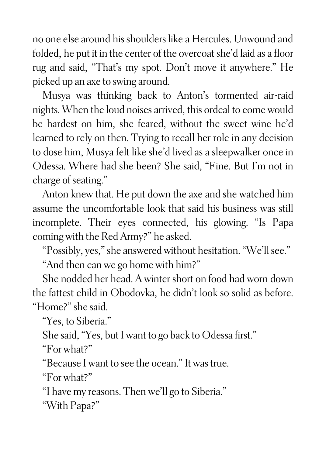no one else around his shoulders like a Hercules. Unwound and folded, he put it in the center of the overcoat she'd laid as a floor rug and said, "That's my spot. Don't move it anywhere." He picked up an axe to swing around.

Musya was thinking back to Anton's tormented air-raid nights. When the loud noises arrived, this ordeal to come would be hardest on him, she feared, without the sweet wine he'd learned to rely on then. Trying to recall her role in any decision to dose him, Musya felt like she'd lived as a sleepwalker once in Odessa. Where had she been? She said, "Fine. But I'm not in charge of seating."

Anton knew that. He put down the axe and she watched him assume the uncomfortable look that said his business was still incomplete. Their eyes connected, his glowing. "Is Papa coming with the Red Army?" he asked.

"Possibly, yes," she answered without hesitation. "We'll see."

"And then can we go home with him?"

She nodded her head. A winter short on food had worn down the fattest child in Obodovka, he didn't look so solid as before. "Home?" she said.

"Yes, to Siberia."

She said, "Yes, but I want to go back to Odessa first."

"For what?"

"Because I want to see the ocean." It was true.

"For what?"

"I have my reasons. Then we'll go to Siberia."

"With Papa?"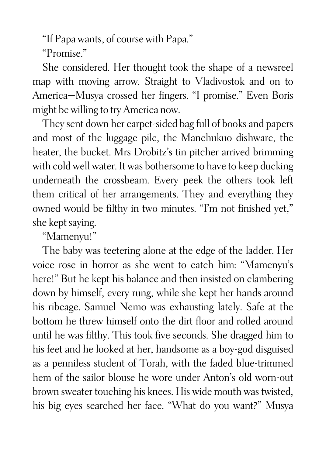"If Papa wants, of course with Papa."

"Promise."

She considered. Her thought took the shape of a newsreel map with moving arrow. Straight to Vladivostok and on to America—Musya crossed her fingers. "I promise." Even Boris might be willing to try America now.

They sent down her carpet-sided bag full of books and papers and most of the luggage pile, the Manchukuo dishware, the heater, the bucket. Mrs Drobitz's tin pitcher arrived brimming with cold well water. It was bothersome to have to keep ducking underneath the crossbeam. Every peek the others took left them critical of her arrangements. They and everything they owned would be filthy in two minutes. "I'm not finished yet," she kept saying.

"Mamenyu!"

The baby was teetering alone at the edge of the ladder. Her voice rose in horror as she went to catch him: "Mamenyu's here!" But he kept his balance and then insisted on clambering down by himself, every rung, while she kept her hands around his ribcage. Samuel Nemo was exhausting lately. Safe at the bottom he threw himself onto the dirt floor and rolled around until he was filthy. This took five seconds. She dragged him to his feet and he looked at her, handsome as a boy-god disguised as a penniless student of Torah, with the faded blue-trimmed hem of the sailor blouse he wore under Anton's old worn-out brown sweater touching his knees. His wide mouth was twisted, his big eyes searched her face. "What do you want?" Musya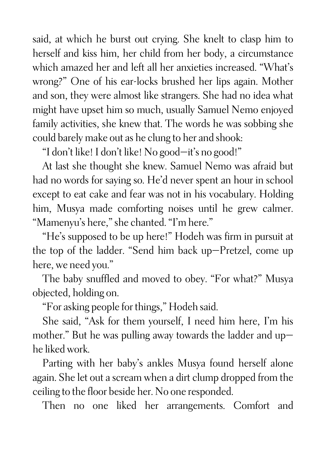said, at which he burst out crying. She knelt to clasp him to herself and kiss him, her child from her body, a circumstance which amazed her and left all her anxieties increased. "What's wrong?" One of his ear-locks brushed her lips again. Mother and son, they were almost like strangers. She had no idea what might have upset him so much, usually Samuel Nemo enjoyed family activities, she knew that. The words he was sobbing she could barely make out as he clung to her and shook:

"I don't like! I don't like! No good—it's no good!"

At last she thought she knew. Samuel Nemo was afraid but had no words for saying so. He'd never spent an hour in school except to eat cake and fear was not in his vocabulary. Holding him, Musya made comforting noises until he grew calmer. "Mamenyu's here," she chanted. "I'm here."

"He's supposed to be up here!" Hodeh was firm in pursuit at the top of the ladder. "Send him back up—Pretzel, come up here, we need you."

The baby snuffled and moved to obey. "For what?" Musya objected, holding on.

"For asking people for things," Hodeh said.

She said, "Ask for them yourself, I need him here, I'm his mother." But he was pulling away towards the ladder and up he liked work.

Parting with her baby's ankles Musya found herself alone again. She let out a scream when a dirt clump dropped from the ceiling to the floor beside her. No one responded.

Then no one liked her arrangements. Comfort and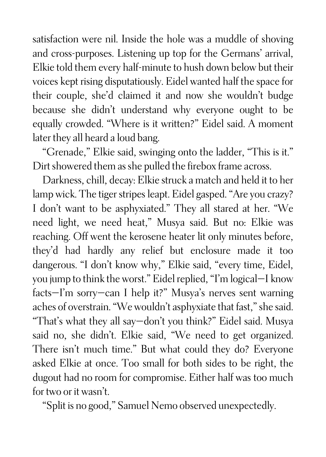satisfaction were nil. Inside the hole was a muddle of shoving and cross-purposes. Listening up top for the Germans' arrival, Elkie told them every half-minute to hush down below but their voices kept rising disputatiously. Eidel wanted half the space for their couple, she'd claimed it and now she wouldn't budge because she didn't understand why everyone ought to be equally crowded. "Where is it written?" Eidel said. A moment later they all heard a loud bang.

"Grenade," Elkie said, swinging onto the ladder, "This is it." Dirt showered them as she pulled the firebox frame across.

Darkness, chill, decay: Elkie struck a match and held it to her lamp wick. The tiger stripes leapt. Eidel gasped. "Are you crazy? I don't want to be asphyxiated." They all stared at her. "We need light, we need heat," Musya said. But no: Elkie was reaching. Off went the kerosene heater lit only minutes before, they'd had hardly any relief but enclosure made it too dangerous. "I don't know why," Elkie said, "every time, Eidel, you jump to think the worst." Eidel replied, "I'm logical—I know facts—I'm sorry—can I help it?" Musya's nerves sent warning aches of overstrain. "We wouldn't asphyxiate that fast," she said. "That's what they all say—don't you think?" Eidel said. Musya said no, she didn't. Elkie said, "We need to get organized. There isn't much time." But what could they do? Everyone asked Elkie at once. Too small for both sides to be right, the dugout had no room for compromise. Either half was too much for two or it wasn't.

"Split is no good," Samuel Nemo observed unexpectedly.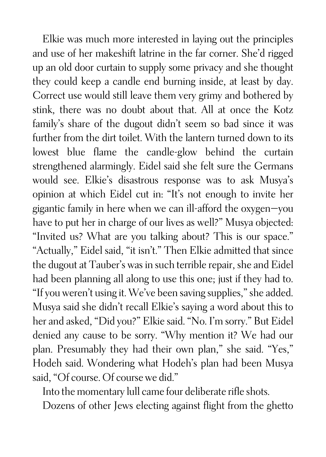Elkie was much more interested in laying out the principles and use of her makeshift latrine in the far corner. She'd rigged up an old door curtain to supply some privacy and she thought they could keep a candle end burning inside, at least by day. Correct use would still leave them very grimy and bothered by stink, there was no doubt about that. All at once the Kotz family's share of the dugout didn't seem so bad since it was further from the dirt toilet. With the lantern turned down to its lowest blue flame the candle-glow behind the curtain strengthened alarmingly. Eidel said she felt sure the Germans would see. Elkie's disastrous response was to ask Musya's opinion at which Eidel cut in: "It's not enough to invite her gigantic family in here when we can ill-afford the oxygen—you have to put her in charge of our lives as well?" Musya objected: "Invited us? What are you talking about? This is our space." "Actually," Eidel said, "it isn't." Then Elkie admitted that since the dugout at Tauber's was in such terrible repair, she and Eidel had been planning all along to use this one; just if they had to. "If you weren't using it. We've been saving supplies," she added. Musya said she didn't recall Elkie's saying a word about this to her and asked, "Did you?" Elkie said. "No. I'm sorry." But Eidel denied any cause to be sorry. "Why mention it? We had our plan. Presumably they had their own plan," she said. "Yes," Hodeh said. Wondering what Hodeh's plan had been Musya said, "Of course. Of course we did."

Into the momentary lull came four deliberate rifle shots.

Dozens of other Jews electing against flight from the ghetto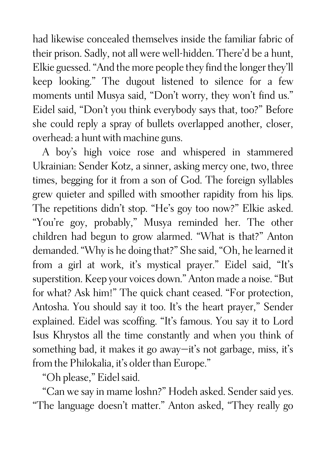had likewise concealed themselves inside the familiar fabric of their prison. Sadly, not all were well-hidden. There'd be a hunt, Elkie guessed. "And the more people they find the longer they'll keep looking." The dugout listened to silence for a few moments until Musya said, "Don't worry, they won't find us." Eidel said, "Don't you think everybody says that, too?" Before she could reply a spray of bullets overlapped another, closer, overhead: a hunt with machine guns.

A boy's high voice rose and whispered in stammered Ukrainian: Sender Kotz, a sinner, asking mercy one, two, three times, begging for it from a son of God. The foreign syllables grew quieter and spilled with smoother rapidity from his lips. The repetitions didn't stop. "He's goy too now?" Elkie asked. "You're goy, probably," Musya reminded her. The other children had begun to grow alarmed. "What is that?" Anton demanded. "Why is he doing that?" She said, "Oh, he learned it from a girl at work, it's mystical prayer." Eidel said, "It's superstition. Keep your voices down." Anton made a noise. "But for what? Ask him!" The quick chant ceased. "For protection, Antosha. You should say it too. It's the heart prayer," Sender explained. Eidel was scoffing. "It's famous. You say it to Lord Isus Khrystos all the time constantly and when you think of something bad, it makes it go away—it's not garbage, miss, it's from the Philokalia, it's older than Europe."

"Oh please," Eidel said.

"Can we say in mame loshn?" Hodeh asked. Sender said yes. "The language doesn't matter." Anton asked, "They really go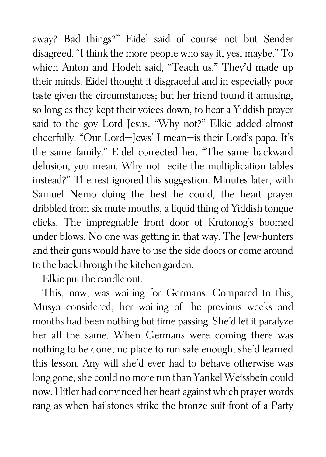away? Bad things?" Eidel said of course not but Sender disagreed. "I think the more people who say it, yes, maybe." To which Anton and Hodeh said, "Teach us." They'd made up their minds. Eidel thought it disgraceful and in especially poor taste given the circumstances; but her friend found it amusing, so long as they kept their voices down, to hear a Yiddish prayer said to the goy Lord Jesus. "Why not?" Elkie added almost cheerfully. "Our Lord—Jews' I mean—is their Lord's papa. It's the same family." Eidel corrected her. "The same backward delusion, you mean. Why not recite the multiplication tables instead?" The rest ignored this suggestion. Minutes later, with Samuel Nemo doing the best he could, the heart prayer dribbled from six mute mouths, a liquid thing of Yiddish tongue clicks. The impregnable front door of Krutonog's boomed under blows. No one was getting in that way. The Jew-hunters and their guns would have to use the side doors or come around to the back through the kitchen garden.

Elkie put the candle out.

This, now, was waiting for Germans. Compared to this, Musya considered, her waiting of the previous weeks and months had been nothing but time passing. She'd let it paralyze her all the same. When Germans were coming there was nothing to be done, no place to run safe enough; she'd learned this lesson. Any will she'd ever had to behave otherwise was long gone, she could no more run than Yankel Weissbein could now. Hitler had convinced her heart against which prayer words rang as when hailstones strike the bronze suit-front of a Party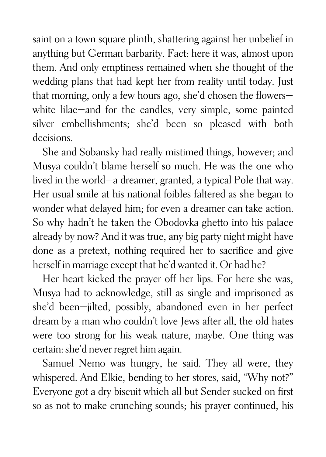saint on a town square plinth, shattering against her unbelief in anything but German barbarity. Fact: here it was, almost upon them. And only emptiness remained when she thought of the wedding plans that had kept her from reality until today. Just that morning, only a few hours ago, she'd chosen the flowers white lilac—and for the candles, very simple, some painted silver embellishments; she'd been so pleased with both decisions.

She and Sobansky had really mistimed things, however; and Musya couldn't blame herself so much. He was the one who lived in the world—a dreamer, granted, a typical Pole that way. Her usual smile at his national foibles faltered as she began to wonder what delayed him; for even a dreamer can take action. So why hadn't he taken the Obodovka ghetto into his palace already by now? And it was true, any big party night might have done as a pretext, nothing required her to sacrifice and give herself in marriage except that he'd wanted it. Or had he?

Her heart kicked the prayer off her lips. For here she was, Musya had to acknowledge, still as single and imprisoned as she'd been—jilted, possibly, abandoned even in her perfect dream by a man who couldn't love Jews after all, the old hates were too strong for his weak nature, maybe. One thing was certain: she'd never regret him again.

Samuel Nemo was hungry, he said. They all were, they whispered. And Elkie, bending to her stores, said, "Why not?" Everyone got a dry biscuit which all but Sender sucked on first so as not to make crunching sounds; his prayer continued, his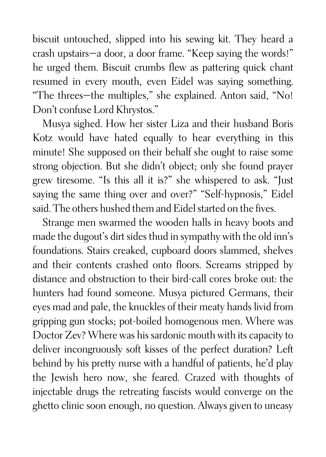biscuit untouched, slipped into his sewing kit. They heard a crash upstairs—a door, a door frame. "Keep saying the words!" he urged them. Biscuit crumbs flew as pattering quick chant resumed in every mouth, even Eidel was saying something. "The threes—the multiples," she explained. Anton said, "No! Don't confuse Lord Khrystos."

Musya sighed. How her sister Liza and their husband Boris Kotz would have hated equally to hear everything in this minute! She supposed on their behalf she ought to raise some strong objection. But she didn't object; only she found prayer grew tiresome. "Is this all it is?" she whispered to ask. "Just saying the same thing over and over?" "Self-hypnosis," Eidel said. The others hushed them and Eidel started on the fives.

Strange men swarmed the wooden halls in heavy boots and made the dugout's dirt sides thud in sympathy with the old inn's foundations. Stairs creaked, cupboard doors slammed, shelves and their contents crashed onto floors. Screams stripped by distance and obstruction to their bird-call cores broke out: the hunters had found someone. Musya pictured Germans, their eyes mad and pale, the knuckles of their meaty hands livid from gripping gun stocks; pot-boiled homogenous men. Where was Doctor Zev? Where was his sardonic mouth with its capacity to deliver incongruously soft kisses of the perfect duration? Left behind by his pretty nurse with a handful of patients, he'd play the Jewish hero now, she feared. Crazed with thoughts of injectable drugs the retreating fascists would converge on the ghetto clinic soon enough, no question. Always given to uneasy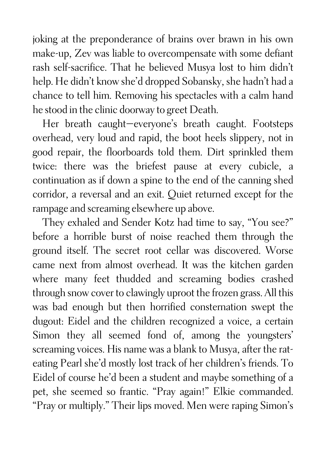joking at the preponderance of brains over brawn in his own make-up, Zev was liable to overcompensate with some defiant rash self-sacrifice. That he believed Musya lost to him didn't help. He didn't know she'd dropped Sobansky, she hadn't had a chance to tell him. Removing his spectacles with a calm hand he stood in the clinic doorway to greet Death.

Her breath caught—everyone's breath caught. Footsteps overhead, very loud and rapid, the boot heels slippery, not in good repair, the floorboards told them. Dirt sprinkled them twice: there was the briefest pause at every cubicle, a continuation as if down a spine to the end of the canning shed corridor, a reversal and an exit. Quiet returned except for the rampage and screaming elsewhere up above.

They exhaled and Sender Kotz had time to say, "You see?" before a horrible burst of noise reached them through the ground itself. The secret root cellar was discovered. Worse came next from almost overhead. It was the kitchen garden where many feet thudded and screaming bodies crashed through snow cover to clawingly uproot the frozen grass. All this was bad enough but then horrified consternation swept the dugout: Eidel and the children recognized a voice, a certain Simon they all seemed fond of, among the youngsters' screaming voices. His name was a blank to Musya, after the rateating Pearl she'd mostly lost track of her children's friends. To Eidel of course he'd been a student and maybe something of a pet, she seemed so frantic. "Pray again!" Elkie commanded. "Pray or multiply." Their lips moved. Men were raping Simon's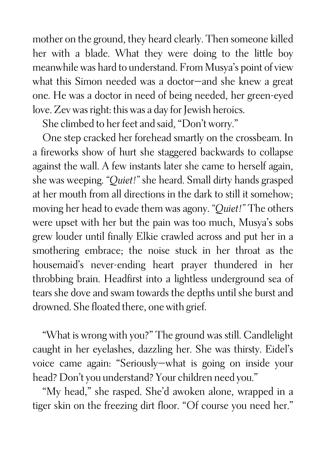mother on the ground, they heard clearly. Then someone killed her with a blade. What they were doing to the little boy meanwhile was hard to understand. From Musya's point of view what this Simon needed was a doctor—and she knew a great one. He was a doctor in need of being needed, her green-eyed love. Zev was right: this was a day for Jewish heroics.

She climbed to her feet and said, "Don't worry."

One step cracked her forehead smartly on the crossbeam. In a fireworks show of hurt she staggered backwards to collapse against the wall. A few instants later she came to herself again, she was weeping. *"Quiet!"* she heard. Small dirty hands grasped at her mouth from all directions in the dark to still it somehow; moving her head to evade them was agony. *"Quiet!"* The others were upset with her but the pain was too much, Musya's sobs grew louder until finally Elkie crawled across and put her in a smothering embrace; the noise stuck in her throat as the housemaid's never-ending heart prayer thundered in her throbbing brain. Headfirst into a lightless underground sea of tears she dove and swam towards the depths until she burst and drowned. She floated there, one with grief.

"What is wrong with you?" The ground was still. Candlelight caught in her eyelashes, dazzling her. She was thirsty. Eidel's voice came again: "Seriously—what is going on inside your head? Don't you understand? Your children need you."

"My head," she rasped. She'd awoken alone, wrapped in a tiger skin on the freezing dirt floor. "Of course you need her."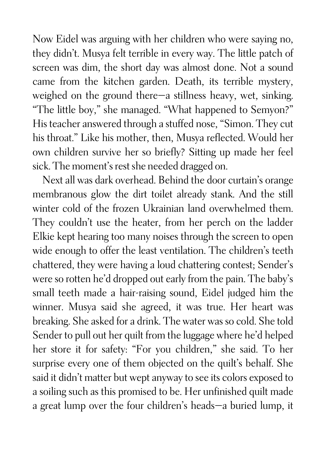Now Eidel was arguing with her children who were saying no, they didn't. Musya felt terrible in every way. The little patch of screen was dim, the short day was almost done. Not a sound came from the kitchen garden. Death, its terrible mystery, weighed on the ground there—a stillness heavy, wet, sinking. "The little boy," she managed. "What happened to Semyon?" His teacher answered through a stuffed nose, "Simon. They cut his throat." Like his mother, then, Musya reflected. Would her own children survive her so briefly? Sitting up made her feel sick. The moment's rest she needed dragged on.

Next all was dark overhead. Behind the door curtain's orange membranous glow the dirt toilet already stank. And the still winter cold of the frozen Ukrainian land overwhelmed them. They couldn't use the heater, from her perch on the ladder Elkie kept hearing too many noises through the screen to open wide enough to offer the least ventilation. The children's teeth chattered, they were having a loud chattering contest; Sender's were so rotten he'd dropped out early from the pain. The baby's small teeth made a hair-raising sound, Eidel judged him the winner. Musya said she agreed, it was true. Her heart was breaking. She asked for a drink. The water was so cold. She told Sender to pull out her quilt from the luggage where he'd helped her store it for safety: "For you children," she said. To her surprise every one of them objected on the quilt's behalf. She said it didn't matter but wept anyway to see its colors exposed to a soiling such as this promised to be. Her unfinished quilt made a great lump over the four children's heads—a buried lump, it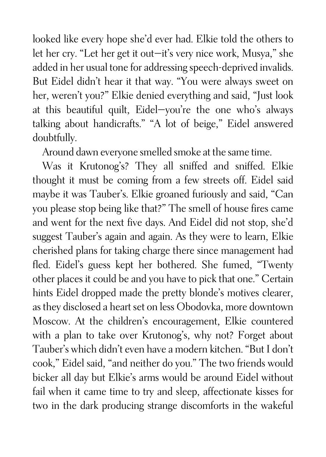looked like every hope she'd ever had. Elkie told the others to let her cry. "Let her get it out—it's very nice work, Musya," she added in her usual tone for addressing speech-deprived invalids. But Eidel didn't hear it that way. "You were always sweet on her, weren't you?" Elkie denied everything and said, "Just look at this beautiful quilt, Eidel—you're the one who's always talking about handicrafts." "A lot of beige," Eidel answered doubtfully.

Around dawn everyone smelled smoke at the same time.

Was it Krutonog's? They all sniffed and sniffed. Elkie thought it must be coming from a few streets off. Eidel said maybe it was Tauber's. Elkie groaned furiously and said, "Can you please stop being like that?" The smell of house fires came and went for the next five days. And Eidel did not stop, she'd suggest Tauber's again and again. As they were to learn, Elkie cherished plans for taking charge there since management had fled. Eidel's guess kept her bothered. She fumed, "Twenty other places it could be and you have to pick that one." Certain hints Eidel dropped made the pretty blonde's motives clearer, as they disclosed a heart set on less Obodovka, more downtown Moscow. At the children's encouragement, Elkie countered with a plan to take over Krutonog's, why not? Forget about Tauber's which didn't even have a modern kitchen. "But I don't cook," Eidel said, "and neither do you." The two friends would bicker all day but Elkie's arms would be around Eidel without fail when it came time to try and sleep, affectionate kisses for two in the dark producing strange discomforts in the wakeful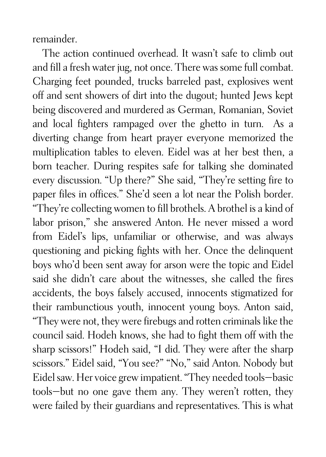remainder.

The action continued overhead. It wasn't safe to climb out and fill a fresh water jug, not once. There was some full combat. Charging feet pounded, trucks barreled past, explosives went off and sent showers of dirt into the dugout; hunted Jews kept being discovered and murdered as German, Romanian, Soviet and local fighters rampaged over the ghetto in turn. As a diverting change from heart prayer everyone memorized the multiplication tables to eleven. Eidel was at her best then, a born teacher. During respites safe for talking she dominated every discussion. "Up there?" She said, "They're setting fire to paper files in offices." She'd seen a lot near the Polish border. "They're collecting women to fill brothels. A brothel is a kind of labor prison," she answered Anton. He never missed a word from Eidel's lips, unfamiliar or otherwise, and was always questioning and picking fights with her. Once the delinquent boys who'd been sent away for arson were the topic and Eidel said she didn't care about the witnesses, she called the fires accidents, the boys falsely accused, innocents stigmatized for their rambunctious youth, innocent young boys. Anton said, "They were not, they were firebugs and rotten criminals like the council said. Hodeh knows, she had to fight them off with the sharp scissors!" Hodeh said, "I did. They were after the sharp scissors." Eidel said, "You see?" "No," said Anton. Nobody but Eidel saw. Her voice grew impatient. "They needed tools—basic tools—but no one gave them any. They weren't rotten, they were failed by their guardians and representatives. This is what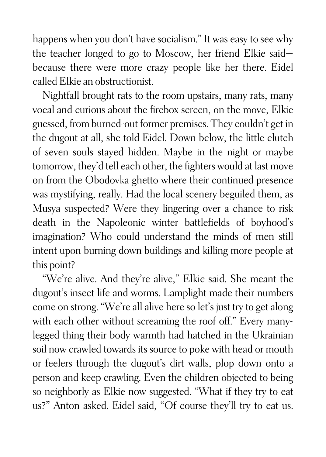happens when you don't have socialism." It was easy to see why the teacher longed to go to Moscow, her friend Elkie said because there were more crazy people like her there. Eidel called Elkie an obstructionist.

Nightfall brought rats to the room upstairs, many rats, many vocal and curious about the firebox screen, on the move, Elkie guessed, from burned-out former premises. They couldn't get in the dugout at all, she told Eidel. Down below, the little clutch of seven souls stayed hidden. Maybe in the night or maybe tomorrow, they'd tell each other, the fighters would at last move on from the Obodovka ghetto where their continued presence was mystifying, really. Had the local scenery beguiled them, as Musya suspected? Were they lingering over a chance to risk death in the Napoleonic winter battlefields of boyhood's imagination? Who could understand the minds of men still intent upon burning down buildings and killing more people at this point?

"We're alive. And they're alive," Elkie said. She meant the dugout's insect life and worms. Lamplight made their numbers come on strong. "We're all alive here so let's just try to get along with each other without screaming the roof off." Every manylegged thing their body warmth had hatched in the Ukrainian soil now crawled towards its source to poke with head or mouth or feelers through the dugout's dirt walls, plop down onto a person and keep crawling. Even the children objected to being so neighborly as Elkie now suggested. "What if they try to eat us?" Anton asked. Eidel said, "Of course they'll try to eat us.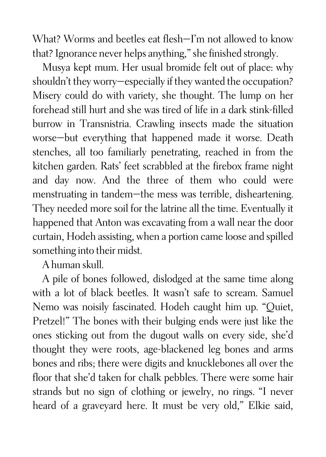What? Worms and beetles eat flesh—I'm not allowed to know that? Ignorance never helps anything," she finished strongly.

Musya kept mum. Her usual bromide felt out of place: why shouldn't they worry—especially if they wanted the occupation? Misery could do with variety, she thought. The lump on her forehead still hurt and she was tired of life in a dark stink-filled burrow in Transnistria. Crawling insects made the situation worse—but everything that happened made it worse. Death stenches, all too familiarly penetrating, reached in from the kitchen garden. Rats' feet scrabbled at the firebox frame night and day now. And the three of them who could were menstruating in tandem—the mess was terrible, disheartening. They needed more soil for the latrine all the time. Eventually it happened that Anton was excavating from a wall near the door curtain, Hodeh assisting, when a portion came loose and spilled something into their midst.

A human skull.

A pile of bones followed, dislodged at the same time along with a lot of black beetles. It wasn't safe to scream. Samuel Nemo was noisily fascinated. Hodeh caught him up. "Quiet, Pretzel!" The bones with their bulging ends were just like the ones sticking out from the dugout walls on every side, she'd thought they were roots, age-blackened leg bones and arms bones and ribs; there were digits and knucklebones all over the floor that she'd taken for chalk pebbles. There were some hair strands but no sign of clothing or jewelry, no rings. "I never heard of a graveyard here. It must be very old," Elkie said,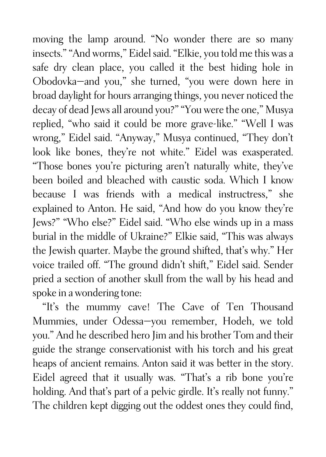moving the lamp around. "No wonder there are so many insects." "And worms," Eidel said. "Elkie, you told me this was a safe dry clean place, you called it the best hiding hole in Obodovka—and you," she turned, "you were down here in broad daylight for hours arranging things, you never noticed the decay of dead Jews all around you?" "You were the one," Musya replied, "who said it could be more grave-like." "Well I was wrong," Eidel said. "Anyway," Musya continued, "They don't look like bones, they're not white." Eidel was exasperated. "Those bones you're picturing aren't naturally white, they've been boiled and bleached with caustic soda. Which I know because I was friends with a medical instructress," she explained to Anton. He said, "And how do you know they're Jews?" "Who else?" Eidel said. "Who else winds up in a mass burial in the middle of Ukraine?" Elkie said, "This was always the Jewish quarter. Maybe the ground shifted, that's why." Her voice trailed off. "The ground didn't shift," Eidel said. Sender pried a section of another skull from the wall by his head and spoke in a wondering tone:

"It's the mummy cave! The Cave of Ten Thousand Mummies, under Odessa—you remember, Hodeh, we told you." And he described hero Jim and his brother Tom and their guide the strange conservationist with his torch and his great heaps of ancient remains. Anton said it was better in the story. Eidel agreed that it usually was. "That's a rib bone you're holding. And that's part of a pelvic girdle. It's really not funny." The children kept digging out the oddest ones they could find,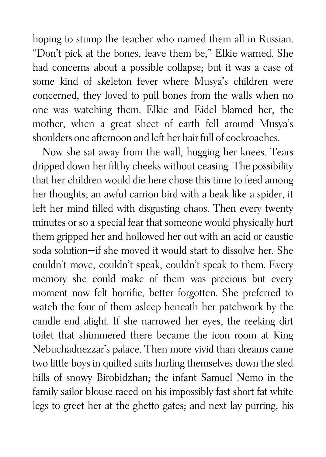hoping to stump the teacher who named them all in Russian. "Don't pick at the bones, leave them be," Elkie warned. She had concerns about a possible collapse; but it was a case of some kind of skeleton fever where Musya's children were concerned, they loved to pull bones from the walls when no one was watching them. Elkie and Eidel blamed her, the mother, when a great sheet of earth fell around Musya's shoulders one afternoon and left her hair full of cockroaches.

Now she sat away from the wall, hugging her knees. Tears dripped down her filthy cheeks without ceasing. The possibility that her children would die here chose this time to feed among her thoughts; an awful carrion bird with a beak like a spider, it left her mind filled with disgusting chaos. Then every twenty minutes or so a special fear that someone would physically hurt them gripped her and hollowed her out with an acid or caustic soda solution—if she moved it would start to dissolve her. She couldn't move, couldn't speak, couldn't speak to them. Every memory she could make of them was precious but every moment now felt horrific, better forgotten. She preferred to watch the four of them asleep beneath her patchwork by the candle end alight. If she narrowed her eyes, the reeking dirt toilet that shimmered there became the icon room at King Nebuchadnezzar's palace. Then more vivid than dreams came two little boys in quilted suits hurling themselves down the sled hills of snowy Birobidzhan; the infant Samuel Nemo in the family sailor blouse raced on his impossibly fast short fat white legs to greet her at the ghetto gates; and next lay purring, his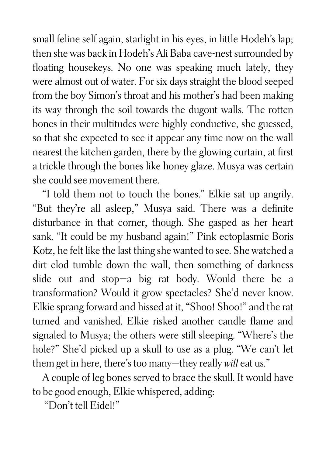small feline self again, starlight in his eyes, in little Hodeh's lap; then she was back in Hodeh's Ali Baba cave-nest surrounded by floating housekeys. No one was speaking much lately, they were almost out of water. For six days straight the blood seeped from the boy Simon's throat and his mother's had been making its way through the soil towards the dugout walls. The rotten bones in their multitudes were highly conductive, she guessed, so that she expected to see it appear any time now on the wall nearest the kitchen garden, there by the glowing curtain, at first a trickle through the bones like honey glaze. Musya was certain she could see movement there.

"I told them not to touch the bones." Elkie sat up angrily. "But they're all asleep," Musya said. There was a definite disturbance in that corner, though. She gasped as her heart sank. "It could be my husband again!" Pink ectoplasmic Boris Kotz, he felt like the last thing she wanted to see. She watched a dirt clod tumble down the wall, then something of darkness slide out and stop—a big rat body. Would there be a transformation? Would it grow spectacles? She'd never know. Elkie sprang forward and hissed at it, "Shoo! Shoo!" and the rat turned and vanished. Elkie risked another candle flame and signaled to Musya; the others were still sleeping. "Where's the hole?" She'd picked up a skull to use as a plug. "We can't let them get in here, there's too many—they really *will* eat us."

A couple of leg bones served to brace the skull. It would have to be good enough, Elkie whispered, adding:

"Don't tell Eidel!"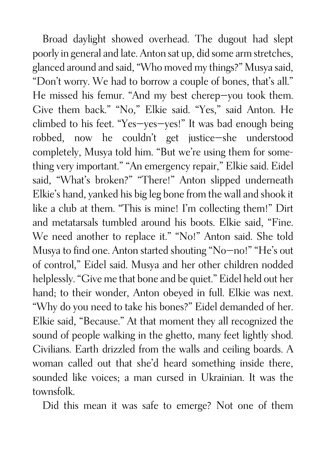Broad daylight showed overhead. The dugout had slept poorly in general and late. Anton sat up, did some arm stretches, glanced around and said, "Who moved my things?" Musya said, "Don't worry. We had to borrow a couple of bones, that's all." He missed his femur. "And my best cherep—you took them. Give them back." "No," Elkie said. "Yes," said Anton. He climbed to his feet. "Yes—yes—yes!" It was bad enough being robbed, now he couldn't get justice—she understood completely, Musya told him. "But we're using them for something very important." "An emergency repair," Elkie said. Eidel said, "What's broken?" "There!" Anton slipped underneath Elkie's hand, yanked his big leg bone from the wall and shook it like a club at them. "This is mine! I'm collecting them!" Dirt and metatarsals tumbled around his boots. Elkie said, "Fine. We need another to replace it." "No!" Anton said. She told Musya to find one. Anton started shouting "No—no!" "He's out of control," Eidel said. Musya and her other children nodded helplessly. "Give me that bone and be quiet." Eidel held out her hand; to their wonder, Anton obeyed in full. Elkie was next. "Why do you need to take his bones?" Eidel demanded of her. Elkie said, "Because." At that moment they all recognized the sound of people walking in the ghetto, many feet lightly shod. Civilians. Earth drizzled from the walls and ceiling boards. A woman called out that she'd heard something inside there, sounded like voices; a man cursed in Ukrainian. It was the townsfolk.

Did this mean it was safe to emerge? Not one of them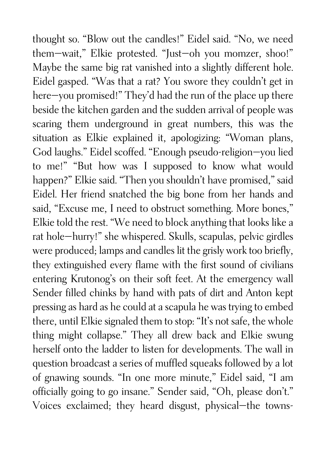thought so. "Blow out the candles!" Eidel said. "No, we need them—wait," Elkie protested. "Just—oh you momzer, shoo!" Maybe the same big rat vanished into a slightly different hole. Eidel gasped. "Was that a rat? You swore they couldn't get in here-you promised!" They'd had the run of the place up there beside the kitchen garden and the sudden arrival of people was scaring them underground in great numbers, this was the situation as Elkie explained it, apologizing: "Woman plans, God laughs." Eidel scoffed. "Enough pseudo-religion—you lied to me!" "But how was I supposed to know what would happen?" Elkie said. "Then you shouldn't have promised," said Eidel. Her friend snatched the big bone from her hands and said, "Excuse me, I need to obstruct something. More bones," Elkie told the rest. "We need to block anything that looks like a rat hole—hurry!" she whispered. Skulls, scapulas, pelvic girdles were produced; lamps and candles lit the grisly work too briefly, they extinguished every flame with the first sound of civilians entering Krutonog's on their soft feet. At the emergency wall Sender filled chinks by hand with pats of dirt and Anton kept pressing as hard as he could at a scapula he was trying to embed there, until Elkie signaled them to stop: "It's not safe, the whole thing might collapse." They all drew back and Elkie swung herself onto the ladder to listen for developments. The wall in question broadcast a series of muffled squeaks followed by a lot of gnawing sounds. "In one more minute," Eidel said, "I am officially going to go insane." Sender said, "Oh, please don't." Voices exclaimed; they heard disgust, physical—the towns-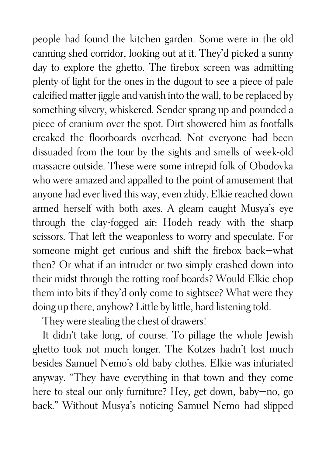people had found the kitchen garden. Some were in the old canning shed corridor, looking out at it. They'd picked a sunny day to explore the ghetto. The firebox screen was admitting plenty of light for the ones in the dugout to see a piece of pale calcified matter jiggle and vanish into the wall, to be replaced by something silvery, whiskered. Sender sprang up and pounded a piece of cranium over the spot. Dirt showered him as footfalls creaked the floorboards overhead. Not everyone had been dissuaded from the tour by the sights and smells of week-old massacre outside. These were some intrepid folk of Obodovka who were amazed and appalled to the point of amusement that anyone had ever lived this way, even zhidy. Elkie reached down armed herself with both axes. A gleam caught Musya's eye through the clay-fogged air: Hodeh ready with the sharp scissors. That left the weaponless to worry and speculate. For someone might get curious and shift the firebox back—what then? Or what if an intruder or two simply crashed down into their midst through the rotting roof boards? Would Elkie chop them into bits if they'd only come to sightsee? What were they doing up there, anyhow? Little by little, hard listening told.

They were stealing the chest of drawers!

It didn't take long, of course. To pillage the whole Jewish ghetto took not much longer. The Kotzes hadn't lost much besides Samuel Nemo's old baby clothes. Elkie was infuriated anyway. "They have everything in that town and they come here to steal our only furniture? Hey, get down, baby—no, go back." Without Musya's noticing Samuel Nemo had slipped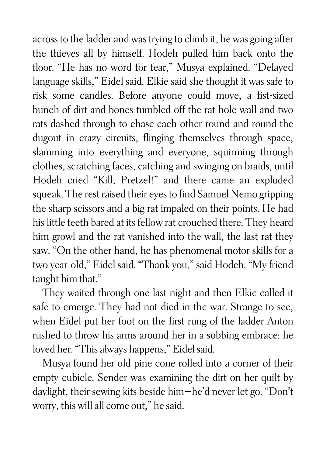across to the ladder and was trying to climb it, he was going after the thieves all by himself. Hodeh pulled him back onto the floor. "He has no word for fear," Musya explained. "Delayed language skills," Eidel said. Elkie said she thought it was safe to risk some candles. Before anyone could move, a fist-sized bunch of dirt and bones tumbled off the rat hole wall and two rats dashed through to chase each other round and round the dugout in crazy circuits, flinging themselves through space, slamming into everything and everyone, squirming through clothes, scratching faces, catching and swinging on braids, until Hodeh cried "Kill, Pretzel!" and there came an exploded squeak. The rest raised their eyes to find Samuel Nemo gripping the sharp scissors and a big rat impaled on their points. He had his little teeth bared at its fellow rat crouched there. They heard him growl and the rat vanished into the wall, the last rat they saw. "On the other hand, he has phenomenal motor skills for a two year-old," Eidel said. "Thank you," said Hodeh. "My friend taught him that."

They waited through one last night and then Elkie called it safe to emerge. They had not died in the war. Strange to see, when Eidel put her foot on the first rung of the ladder Anton rushed to throw his arms around her in a sobbing embrace: he loved her. "This always happens," Eidel said.

Musya found her old pine cone rolled into a corner of their empty cubicle. Sender was examining the dirt on her quilt by daylight, their sewing kits beside him—he'd never let go. "Don't worry, this will all come out," he said.